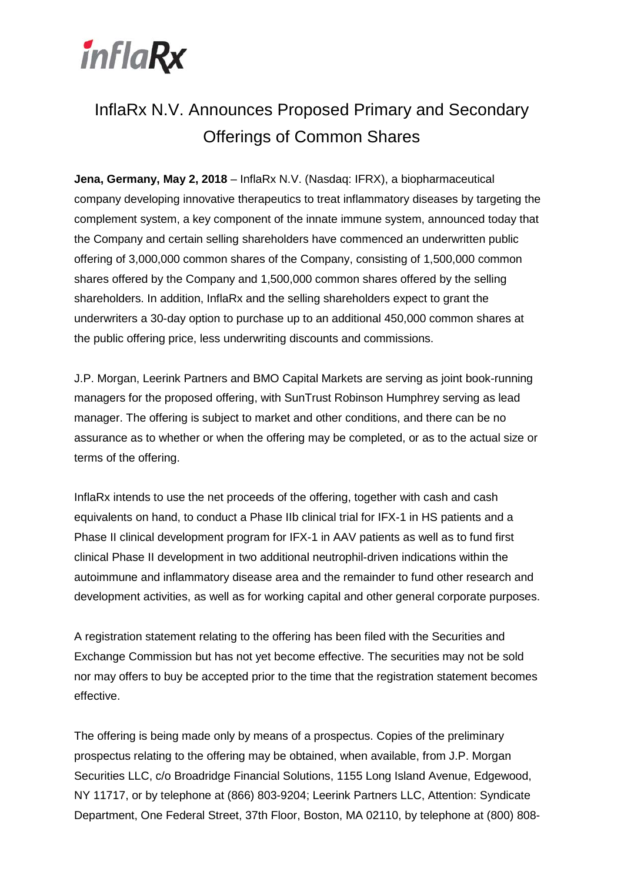

# InflaRx N.V. Announces Proposed Primary and Secondary Offerings of Common Shares

**Jena, Germany, May 2, 2018** – InflaRx N.V. (Nasdaq: IFRX), a biopharmaceutical company developing innovative therapeutics to treat inflammatory diseases by targeting the complement system, a key component of the innate immune system, announced today that the Company and certain selling shareholders have commenced an underwritten public offering of 3,000,000 common shares of the Company, consisting of 1,500,000 common shares offered by the Company and 1,500,000 common shares offered by the selling shareholders. In addition, InflaRx and the selling shareholders expect to grant the underwriters a 30-day option to purchase up to an additional 450,000 common shares at the public offering price, less underwriting discounts and commissions.

J.P. Morgan, Leerink Partners and BMO Capital Markets are serving as joint book-running managers for the proposed offering, with SunTrust Robinson Humphrey serving as lead manager. The offering is subject to market and other conditions, and there can be no assurance as to whether or when the offering may be completed, or as to the actual size or terms of the offering.

InflaRx intends to use the net proceeds of the offering, together with cash and cash equivalents on hand, to conduct a Phase IIb clinical trial for IFX-1 in HS patients and a Phase II clinical development program for IFX-1 in AAV patients as well as to fund first clinical Phase II development in two additional neutrophil-driven indications within the autoimmune and inflammatory disease area and the remainder to fund other research and development activities, as well as for working capital and other general corporate purposes.

A registration statement relating to the offering has been filed with the Securities and Exchange Commission but has not yet become effective. The securities may not be sold nor may offers to buy be accepted prior to the time that the registration statement becomes effective.

The offering is being made only by means of a prospectus. Copies of the preliminary prospectus relating to the offering may be obtained, when available, from J.P. Morgan Securities LLC, c/o Broadridge Financial Solutions, 1155 Long Island Avenue, Edgewood, NY 11717, or by telephone at (866) 803-9204; Leerink Partners LLC, Attention: Syndicate Department, One Federal Street, 37th Floor, Boston, MA 02110, by telephone at (800) 808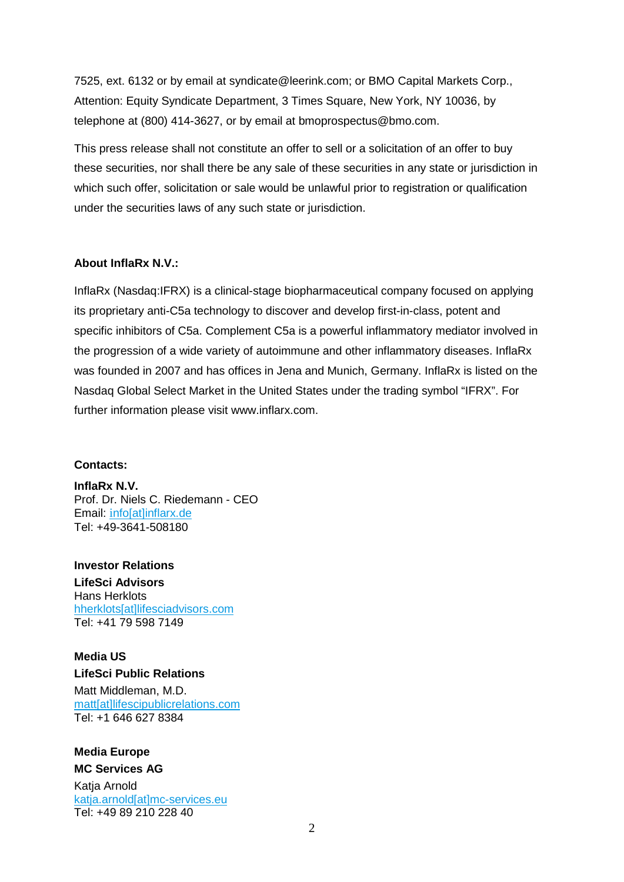7525, ext. 6132 or by email at syndicate@leerink.com; or BMO Capital Markets Corp., Attention: Equity Syndicate Department, 3 Times Square, New York, NY 10036, by telephone at (800) 414-3627, or by email at bmoprospectus@bmo.com.

This press release shall not constitute an offer to sell or a solicitation of an offer to buy these securities, nor shall there be any sale of these securities in any state or jurisdiction in which such offer, solicitation or sale would be unlawful prior to registration or qualification under the securities laws of any such state or jurisdiction.

### **About InflaRx N.V.:**

InflaRx (Nasdaq:IFRX) is a clinical-stage biopharmaceutical company focused on applying its proprietary anti-C5a technology to discover and develop first-in-class, potent and specific inhibitors of C5a. Complement C5a is a powerful inflammatory mediator involved in the progression of a wide variety of autoimmune and other inflammatory diseases. InflaRx was founded in 2007 and has offices in Jena and Munich, Germany. InflaRx is listed on the Nasdaq Global Select Market in the United States under the trading symbol "IFRX". For further information please visit [www.inflarx.com.](http://www.inflarx.com/)

#### **Contacts:**

**InflaRx N.V.** Prof. Dr. Niels C. Riedemann - CEO Email: i[nfo\[at\]inflarx.de](mailto:info@inflarx.de) Tel: +49-3641-508180

**Investor Relations LifeSci Advisors** Hans Herklots [hherklots\[at\]lifesciadvisors.com](mailto:hherklots@lifesciadvisors.com) Tel: +41 79 598 7149

**Media US LifeSci Public Relations** Matt Middleman, M.D. [matt\[at\]lifescipublicrelations.com](mailto:matt@lifescipublicrelations.com) Tel: +1 646 627 8384

## **Media Europe**

**MC Services AG**

Katia Arnold [katja.arnold\[at\]mc-services.eu](mailto:katja.arnold%5Bat%5Dmc-services.eu) Tel: +49 89 210 228 40